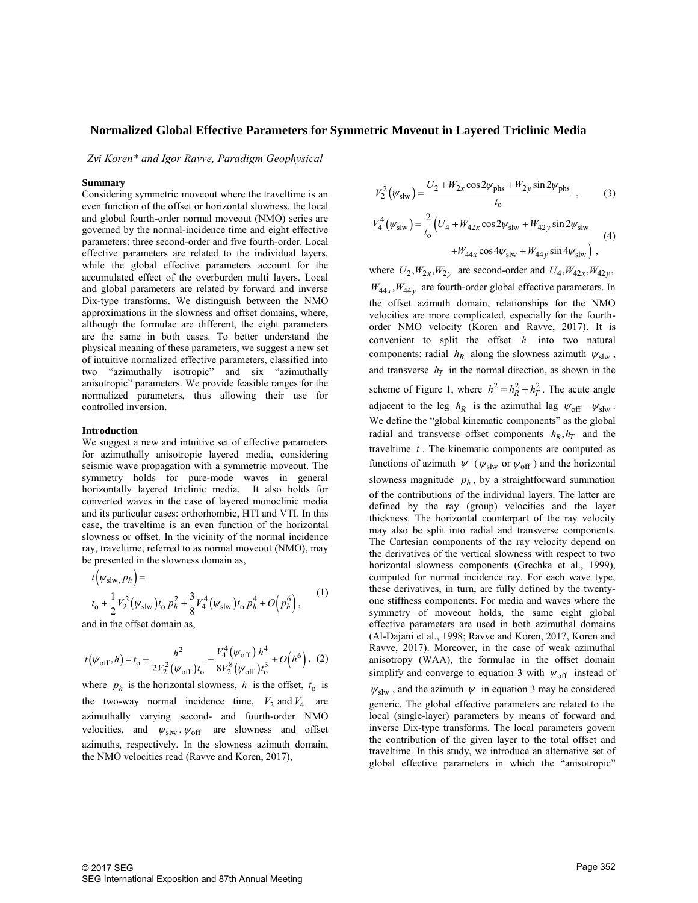*Zvi Koren\* and Igor Ravve, Paradigm Geophysical* 

## **Summary**

Considering symmetric moveout where the traveltime is an even function of the offset or horizontal slowness, the local and global fourth-order normal moveout (NMO) series are governed by the normal-incidence time and eight effective parameters: three second-order and five fourth-order. Local effective parameters are related to the individual layers, while the global effective parameters account for the accumulated effect of the overburden multi layers. Local and global parameters are related by forward and inverse Dix-type transforms. We distinguish between the NMO approximations in the slowness and offset domains, where, although the formulae are different, the eight parameters are the same in both cases. To better understand the physical meaning of these parameters, we suggest a new set of intuitive normalized effective parameters, classified into two "azimuthally isotropic" and six "azimuthally anisotropic" parameters. We provide feasible ranges for the normalized parameters, thus allowing their use for controlled inversion.

### **Introduction**

We suggest a new and intuitive set of effective parameters for azimuthally anisotropic layered media, considering seismic wave propagation with a symmetric moveout. The symmetry holds for pure-mode waves in general horizontally layered triclinic media. It also holds for converted waves in the case of layered monoclinic media and its particular cases: orthorhombic, HTI and VTI. In this case, the traveltime is an even function of the horizontal slowness or offset. In the vicinity of the normal incidence ray, traveltime, referred to as normal moveout (NMO), may be presented in the slowness domain as, *y*, traveltime, referred<br>presented in the slow<br> $t(\psi_{\text{slw}}, p_h) =$ 

$$
t(\psi_{\text{slw}, p_h}) =
$$
  
\n
$$
t_0 + \frac{1}{2}V_2^2(\psi_{\text{slw}})t_0 p_h^2 + \frac{3}{8}V_4^4(\psi_{\text{slw}})t_0 p_h^4 + O(p_h^6),
$$
\n(1)

and in the offset domain as,

and in the offset domain as,  

$$
t(\psi_{\text{off}}, h) = t_0 + \frac{h^2}{2V_2^2(\psi_{\text{off}})t_0} - \frac{V_4^4(\psi_{\text{off}})h^4}{8V_2^8(\psi_{\text{off}})t_0^3} + O(h^6), (2)
$$

where  $p_h$  is the horizontal slowness, h is the offset,  $t_o$  is the two-way normal incidence time,  $V_2$  and  $V_4$  are azimuthally varying second- and fourth-order NMO velocities, and  $\psi_{\text{slw}}$ ,  $\psi_{\text{off}}$  are slowness and offset azimuths, respectively. In the slowness azimuth domain, the NMO velocities read (Ravve and Koren, 2017),

$$
V_2^2(\psi_{\text{slw}}) = \frac{U_2 + W_{2x}\cos 2\psi_{\text{phs}} + W_{2y}\sin 2\psi_{\text{phs}}}{t_0},
$$
(3)  

$$
V_4^4(\psi_{\text{slw}}) = \frac{2}{t_0} (U_4 + W_{42x}\cos 2\psi_{\text{slw}} + W_{42y}\sin 2\psi_{\text{slw}} + W_{44x}\cos 4\psi_{\text{slw}} + W_{44y}\sin 4\psi_{\text{slw}}),
$$
(4)

where  $U_2$ ,  $W_{2x}$ ,  $W_{2y}$  are second-order and  $U_4$ ,  $W_{42x}$ ,  $W_{42y}$ ,  $W_{44x}$ ,  $W_{44y}$  are fourth-order global effective parameters. In the offset azimuth domain, relationships for the NMO velocities are more complicated, especially for the fourthorder NMO velocity (Koren and Ravve, 2017). It is convenient to split the offset *h* into two natural components: radial  $h_R$  along the slowness azimuth  $\psi_{\text{slw}}$ , and transverse  $h_T$  in the normal direction, as shown in the scheme of Figure 1, where  $h^2 = h_R^2 + h_T^2$ . The acute angle adjacent to the leg  $h_R$  is the azimuthal lag  $\psi_{off} - \psi_{slw}$ . We define the "global kinematic components" as the global radial and transverse offset components  $h_R$ ,  $h_T$  and the traveltime *t* . The kinematic components are computed as functions of azimuth  $\psi$  ( $\psi_{\text{slw}}$  or  $\psi_{\text{off}}$ ) and the horizontal slowness magnitude  $p_h$ , by a straightforward summation of the contributions of the individual layers. The latter are defined by the ray (group) velocities and the layer thickness. The horizontal counterpart of the ray velocity may also be split into radial and transverse components. The Cartesian components of the ray velocity depend on the derivatives of the vertical slowness with respect to two horizontal slowness components (Grechka et al., 1999), computed for normal incidence ray. For each wave type, these derivatives, in turn, are fully defined by the twentyone stiffness components. For media and waves where the symmetry of moveout holds, the same eight global effective parameters are used in both azimuthal domains (Al-Dajani et al., 1998; Ravve and Koren, 2017, Koren and Ravve, 2017). Moreover, in the case of weak azimuthal anisotropy (WAA), the formulae in the offset domain simplify and converge to equation 3 with  $\psi_{off}$  instead of

 $\psi_{\rm slw}$ , and the azimuth  $\psi$  in equation 3 may be considered generic. The global effective parameters are related to the local (single-layer) parameters by means of forward and inverse Dix-type transforms. The local parameters govern the contribution of the given layer to the total offset and traveltime. In this study, we introduce an alternative set of global effective parameters in which the "anisotropic"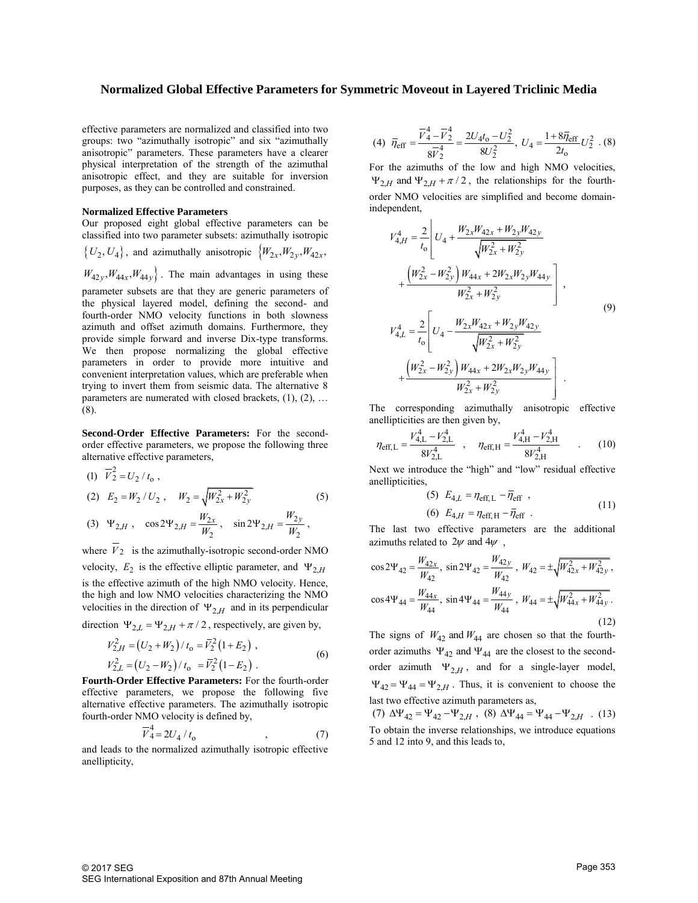effective parameters are normalized and classified into two groups: two "azimuthally isotropic" and six "azimuthally anisotropic" parameters. These parameters have a clearer physical interpretation of the strength of the azimuthal anisotropic effect, and they are suitable for inversion purposes, as they can be controlled and constrained.

### **Normalized Effective Parameters**

Our proposed eight global effective parameters can be classified into two parameter subsets: azimuthally isotropic

 $\{U_2, U_4\}$ , and azimuthally anisotropic  $\{W_{2x}, W_{2y}, W_{42x},\}$  $W_{42y}$ ,  $W_{44x}$ ,  $W_{44y}$ . The main advantages in using these parameter subsets are that they are generic parameters of the physical layered model, defining the second- and fourth-order NMO velocity functions in both slowness azimuth and offset azimuth domains. Furthermore, they provide simple forward and inverse Dix-type transforms. We then propose normalizing the global effective parameters in order to provide more intuitive and convenient interpretation values, which are preferable when trying to invert them from seismic data. The alternative 8 parameters are numerated with closed brackets, (1), (2), ... (8).

**Second-Order Effective Parameters:** For the secondorder effective parameters, we propose the following three

alternative effective parameters,  
\n(1) 
$$
\vec{V}_2^2 = U_2 / t_0
$$
,  
\n(2)  $E_2 = W_2 / U_2$ ,  $W_2 = \sqrt{W_{2x}^2 + W_{2y}^2}$  (5)

(3) 
$$
\Psi_{2,H}
$$
,  $\cos 2\Psi_{2,H} = \frac{W_{2x}}{W_2}$ ,  $\sin 2\Psi_{2,H} = \frac{W_{2y}}{W_2}$ ,

where  $V_2$  is the azimuthally-isotropic second-order NMO velocity,  $E_2$  is the effective elliptic parameter, and  $\Psi_{2,H}$ is the effective azimuth of the high NMO velocity. Hence, the high and low NMO velocities characterizing the NMO velocities in the direction of  $\Psi_{2,H}$  and in its perpendicular

direction 
$$
\Psi_{2,L} = \Psi_{2,H} + \pi/2
$$
, respectively, are given by,  
\n
$$
V_{2,H}^2 = (U_2 + W_2)/t_0 = \overline{V}_2^2 (1 + E_2),
$$
\n
$$
V_{2,L}^2 = (U_2 - W_2)/t_0 = \overline{V}_2^2 (1 - E_2).
$$
\n(6)

**Fourth-Order Effective Parameters:** For the fourth-order effective parameters, we propose the following five alternative effective parameters. The azimuthally isotropic fourth-order NMO velocity is defined by,

$$
\overline{V}_4^4 = 2U_4 / t_0 \tag{7}
$$

and leads to the normalized azimuthally isotropic effective anellipticity,

(4) 
$$
\overline{\eta}_{eff} = \frac{\overline{V}_4^4 - \overline{V}_2^4}{8\overline{V}_2^4} = \frac{2U_4t_0 - U_2^2}{8U_2^2}
$$
,  $U_4 = \frac{1 + 8\overline{\eta}_{eff}}{2t_0}U_2^2$ . (8)

For the azimuths of the low and high NMO velocities,  $\Psi_{2,H}$  and  $\Psi_{2,H} + \pi/2$ , the relationships for the fourthorder NMO velocities are simplified and become domainindependent,

$$
V_{4,H}^{4} = \frac{2}{t_0} \left[ U_4 + \frac{W_{2x}W_{42x} + W_{2y}W_{42y}}{\sqrt{W_{2x}^2 + W_{2y}^2}} + \frac{\left(W_{2x}^2 - W_{2y}^2\right)W_{44x} + 2W_{2x}W_{2y}W_{44y}}{W_{2x}^2 + W_{2y}^2} \right],
$$
  
\n
$$
V_{4,L}^{4} = \frac{2}{t_0} \left[ U_4 - \frac{W_{2x}W_{42x} + W_{2y}W_{42y}}{\sqrt{W_{2x}^2 + W_{2y}^2}} + \frac{\left(W_{2x}^2 - W_{2y}^2\right)W_{44x} + 2W_{2x}W_{2y}W_{44y}}{W_{2x}^2 + W_{2y}^2} \right].
$$
  
\n(9)

The corresponding azimuthally anisotropic effective

anellipticities are then given by,  
\n
$$
\eta_{\text{eff,L}} = \frac{V_{4,\text{L}}^4 - V_{2,\text{L}}^4}{8V_{2,\text{L}}^4} , \quad \eta_{\text{eff,H}} = \frac{V_{4,\text{H}}^4 - V_{2,\text{H}}^4}{8V_{2,\text{H}}^4} . \quad (10)
$$

Next we introduce the "high" and "low" residual effective anellipticities,

(5) 
$$
E_{4,L} = \eta_{\text{eff},L} - \overline{\eta}_{\text{eff}}
$$
,  
(6)  $E_{4,H} = \eta_{\text{eff},H} - \overline{\eta}_{\text{eff}}$ . (11)

The last two effective parameters are the additional azimuths related to  $2\psi$  and  $4\psi$ ,

$$
\cos 2\Psi_{42} = \frac{W_{42x}}{W_{42}}, \sin 2\Psi_{42} = \frac{W_{42y}}{W_{42}}, W_{42} = \pm \sqrt{W_{42x}^2 + W_{42y}^2},
$$

$$
\cos 4\Psi_{44} = \frac{W_{44x}}{W_{44}}, \sin 4\Psi_{44} = \frac{W_{44y}}{W_{44}}, W_{44} = \pm \sqrt{W_{44x}^2 + W_{44y}^2}.
$$
(12)

The signs of  $W_{42}$  and  $W_{44}$  are chosen so that the fourthorder azimuths  $\Psi_{42}$  and  $\Psi_{44}$  are the closest to the secondorder azimuth  $\Psi_{2,H}$ , and for a single-layer model,  $\Psi_{42} = \Psi_{44} = \Psi_{2,H}$ . Thus, it is convenient to choose the last two effective azimuth parameters as,

(7)  $\Delta\Psi_{42} = \Psi_{42} - \Psi_{2,H}$ , (8)  $\Delta\Psi_{44} = \Psi_{44} - \Psi_{2,H}$ . (13) To obtain the inverse relationships, we introduce equations 5 and 12 into 9, and this leads to,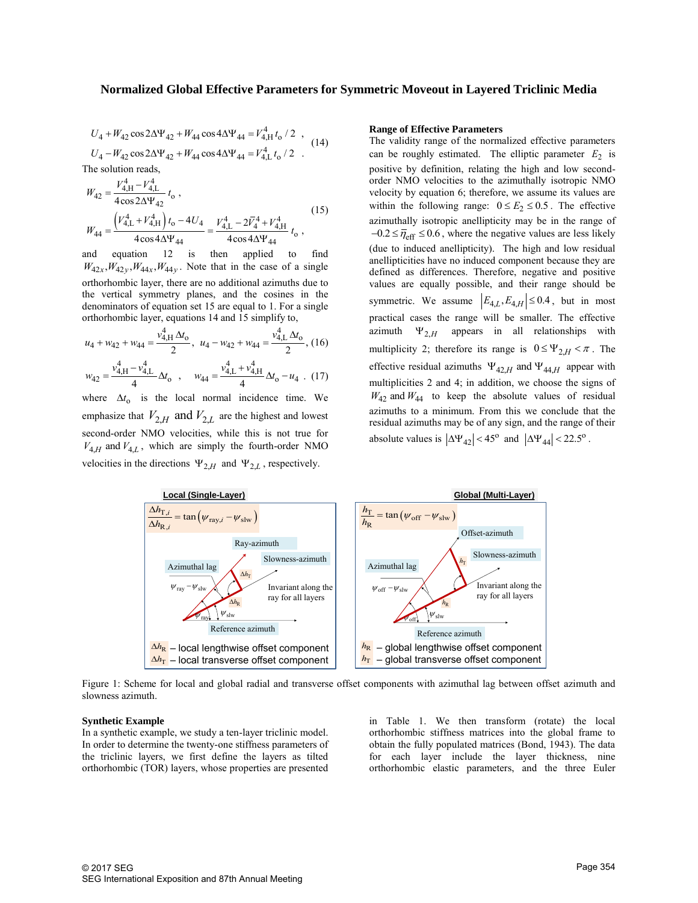$$
U_4 + W_{42} \cos 2\Delta\Psi_{42} + W_{44} \cos 4\Delta\Psi_{44} = V_{4,H}^4 t_0 / 2 ,
$$
  

$$
U_4 - W_{42} \cos 2\Delta\Psi_{42} + W_{44} \cos 4\Delta\Psi_{44} = V_{4,L}^4 t_0 / 2 .
$$
 (14)

The solution reads,  
\n
$$
W_{42} = \frac{V_{4,H}^4 - V_{4,L}^4}{4 \cos 2\Delta\Psi_{42}} t_0,
$$
\n
$$
W_{44} = \frac{\left(V_{4,L}^4 + V_{4,H}^4\right)t_0 - 4U_4}{4 \cos 4\Delta\Psi_{44}} = \frac{V_{4,L}^4 - 2\bar{V}_4^4 + V_{4,H}^4}{4 \cos 4\Delta\Psi_{44}} t_0,
$$
\n(15)

and equation 12 is then applied to find  $W_{42x}$ ,  $W_{42y}$ ,  $W_{44x}$ ,  $W_{44y}$ . Note that in the case of a single orthorhombic layer, there are no additional azimuths due to the vertical symmetry planes, and the cosines in the denominators of equation set 15 are equal to 1. For a single

orthorhombic layer, equations 14 and 15 simplify to,  
\n
$$
u_4 + w_{42} + w_{44} = \frac{v_{4,H}^4 \Delta t_o}{2}
$$
,  $u_4 - w_{42} + w_{44} = \frac{v_{4,L}^4 \Delta t_o}{2}$ , (16)  
\n $w_{42} = \frac{v_{4,H}^4 - v_{4,L}^4}{4} \Delta t_o$ ,  $w_{44} = \frac{v_{4,L}^4 + v_{4,H}^4}{4} \Delta t_o - u_4$ . (17)

where  $\Delta t_0$  is the local normal incidence time. We emphasize that  $V_{2,H}$  and  $V_{2,L}$  are the highest and lowest second-order NMO velocities, while this is not true for  $V_{4,H}$  and  $V_{4,L}$ , which are simply the fourth-order NMO

velocities in the directions  $\Psi_{2,H}$  and  $\Psi_{2,L}$ , respectively.

#### **Range of Effective Parameters**

The validity range of the normalized effective parameters can be roughly estimated. The elliptic parameter  $E_2$  is positive by definition, relating the high and low secondorder NMO velocities to the azimuthally isotropic NMO velocity by equation 6; therefore, we assume its values are within the following range:  $0 \le E_2 \le 0.5$ . The effective azimuthally isotropic anellipticity may be in the range of  $-0.2 \leq \overline{\eta}_{\text{eff}} \leq 0.6$ , where the negative values are less likely (due to induced anellipticity). The high and low residual anellipticities have no induced component because they are defined as differences. Therefore, negative and positive values are equally possible, and their range should be symmetric. We assume  $\left| E_{4,L}, E_{4,H} \right| \leq 0.4$ , but in most practical cases the range will be smaller. The effective azimuth  $\Psi_{2,H}$  appears in all relationships with multiplicity 2; therefore its range is  $0 \le \Psi_{2,H} < \pi$ . The effective residual azimuths  $\Psi_{42,H}$  and  $\Psi_{44,H}$  appear with multiplicities 2 and 4; in addition, we choose the signs of  $W_{42}$  and  $W_{44}$  to keep the absolute values of residual azimuths to a minimum. From this we conclude that the residual azimuths may be of any sign, and the range of their absolute values is  $|\Delta\Psi_{42}| < 45^{\circ}$  and  $|\Delta\Psi_{44}| < 22.5^{\circ}$ . order NMO veckeicins to the arising that is increased to the arising interest of the slower scheme and  $V_{\text{th}} = \frac{V_{\text{th}}^4 - 2F_1^2 + V_{\text{th}}^4}{4 \cos 4 \sqrt{V_{\text{th}}}}$  (15) we<br>unitably isotropic method in the content of explorim **d Global Effective Parameters for Symmetric Moveout in Layered Trictimic Media<br>**  $W_{12} + W_{41} \cos 4\sqrt{V_{44}} = F_{41}^4 r_6 / 2$ **. (14)<br>
<b>Example of Finderic Parameters**<br>  $\frac{P_{12} + P_{42} \cos 4\sqrt{V_{44}} = F_{41}^4 r_6 / 2}$ . (14)<br>
The vali **Iohal Effective Parameters for Symmetric Moveout in Layered Prichinic Media<br>
+** $W_{44} \cos 4\Delta T_{44} = V_{41}^2 V_{42} + V_{41}$ **<br>**  $+ W_{44} \cos 4\Delta T_{44} = V_{41}^2 V_{43} + V_{44}$ **<br>**  $+ W_{44} \cos 4\Delta T_{44} = V_{41}^2 V_{43} + V_{44}$ **<br> + W\_{44} \cos 4\Delta T\_{44} = V\_{41 netric Moveout in Layered Triclinic Media**<br> **Range of Effective Parameters**<br>
The validity range of the normalized effective parameters<br>
The validity range of the normalized effective parameters<br>
can be roughly estimated. y souplive an<br>entiplicity may be in the large of  $\frac{1}{2}$  SO.6, where the negative values are less likely<br>duced anellipticity). The high and low residual<br>ties have no induced component because they are<br>stifferences. Ther **EFFIC MOVEOUT ID Layered I FICHIDE (Media and the complete parameters be validity range of the normalized effective parameters**  $E_2$  **is so sitive by definition, relating the high and tow second-<br>between NoV velocities to** 



Figure 1: Scheme for local and global radial and transverse offset components with azimuthal lag between offset azimuth and slowness azimuth.

## **Synthetic Example**

In a synthetic example, we study a ten-layer triclinic model. In order to determine the twenty-one stiffness parameters of the triclinic layers, we first define the layers as tilted orthorhombic (TOR) layers, whose properties are presented in Table 1. We then transform (rotate) the local orthorhombic stiffness matrices into the global frame to obtain the fully populated matrices (Bond, 1943). The data for each layer include the layer thickness, nine orthorhombic elastic parameters, and the three Euler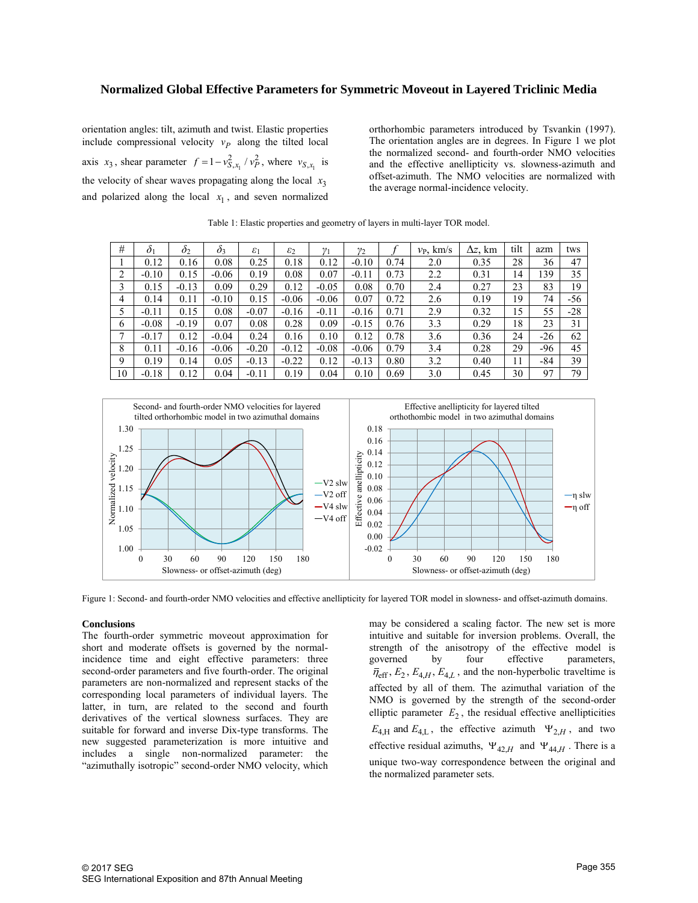orientation angles: tilt, azimuth and twist. Elastic properties include compressional velocity  $v_p$  along the tilted local axis  $x_3$ , shear parameter  $f = 1 - v_{S,x_1}^2 / v_P^2$ , where  $v_{S,x_1}$  is the velocity of shear waves propagating along the local  $x_3$ and polarized along the local  $x_1$ , and seven normalized orthorhombic parameters introduced by Tsvankin (1997). The orientation angles are in degrees. In Figure 1 we plot the normalized second- and fourth-order NMO velocities and the effective anellipticity vs. slowness-azimuth and offset-azimuth. The NMO velocities are normalized with the average normal-incidence velocity.

| #              | $\delta$ | $\mathcal{O}_{2}$ | $\partial_{3}$ | $\varepsilon_1$ | $\varepsilon_2$ | $v_{1}$ | $v_2$   |      | $v_{\rm p}$ , km/s | $\Delta z$ , km | tilt | azm   | tws   |
|----------------|----------|-------------------|----------------|-----------------|-----------------|---------|---------|------|--------------------|-----------------|------|-------|-------|
|                | 0.12     | 0.16              | 0.08           | 0.25            | 0.18            | 0.12    | $-0.10$ | 0.74 | 2.0                | 0.35            | 28   | 36    | 47    |
| 2              | $-0.10$  | 0.15              | $-0.06$        | 0.19            | 0.08            | 0.07    | $-0.11$ | 0.73 | 2.2                | 0.31            | 14   | 139   | 35    |
| 3              | 0.15     | $-0.13$           | 0.09           | 0.29            | 0.12            | $-0.05$ | 0.08    | 0.70 | 2.4                | 0.27            | 23   | 83    | 19    |
| 4              | 0.14     | 0.11              | $-0.10$        | 0.15            | $-0.06$         | $-0.06$ | 0.07    | 0.72 | 2.6                | 0.19            | 19   | 74    | -56   |
| 5              | $-0.11$  | 0.15              | 0.08           | $-0.07$         | $-0.16$         | $-0.11$ | $-0.16$ | 0.71 | 2.9                | 0.32            | 15   | 55    | $-28$ |
| 6              | $-0.08$  | $-0.19$           | 0.07           | 0.08            | 0.28            | 0.09    | $-0.15$ | 0.76 | 3.3                | 0.29            | 18   | 23    | 31    |
| $\overline{ }$ | $-0.17$  | 0.12              | $-0.04$        | 0.24            | 0.16            | 0.10    | 0.12    | 0.78 | 3.6                | 0.36            | 24   | $-26$ | 62    |
| 8              | 0.11     | $-0.16$           | $-0.06$        | $-0.20$         | $-0.12$         | $-0.08$ | $-0.06$ | 0.79 | 3.4                | 0.28            | 29   | -96   | 45    |
| 9              | 0.19     | 0.14              | 0.05           | $-0.13$         | $-0.22$         | 0.12    | $-0.13$ | 0.80 | 3.2                | 0.40            | 11   | -84   | 39    |
| 10             | $-0.18$  | 0.12              | 0.04           | $-0.11$         | 0.19            | 0.04    | 0.10    | 0.69 | 3.0                | 0.45            | 30   | 97    | 79    |

Table 1: Elastic properties and geometry of layers in multi-layer TOR model.



Figure 1: Second- and fourth-order NMO velocities and effective anellipticity for layered TOR model in slowness- and offset-azimuth domains.

### **Conclusions**

The fourth-order symmetric moveout approximation for short and moderate offsets is governed by the normalincidence time and eight effective parameters: three second-order parameters and five fourth-order. The original parameters are non-normalized and represent stacks of the corresponding local parameters of individual layers. The latter, in turn, are related to the second and fourth derivatives of the vertical slowness surfaces. They are suitable for forward and inverse Dix-type transforms. The new suggested parameterization is more intuitive and includes a single non-normalized parameter: the "azimuthally isotropic" second-order NMO velocity, which

may be considered a scaling factor. The new set is more intuitive and suitable for inversion problems. Overall, the strength of the anisotropy of the effective model is governed by four effective parameters,  $\bar{\eta}_{\text{eff}}$ ,  $E_2$ ,  $E_{4,H}$ ,  $E_{4,L}$ , and the non-hyperbolic traveltime is affected by all of them. The azimuthal variation of the NMO is governed by the strength of the second-order elliptic parameter  $E_2$ , the residual effective anellipticities  $E_{4,H}$  and  $E_{4,L}$ , the effective azimuth  $\Psi_{2,H}$ , and two effective residual azimuths,  $\Psi_{42,H}$  and  $\Psi_{44,H}$ . There is a unique two-way correspondence between the original and the normalized parameter sets.